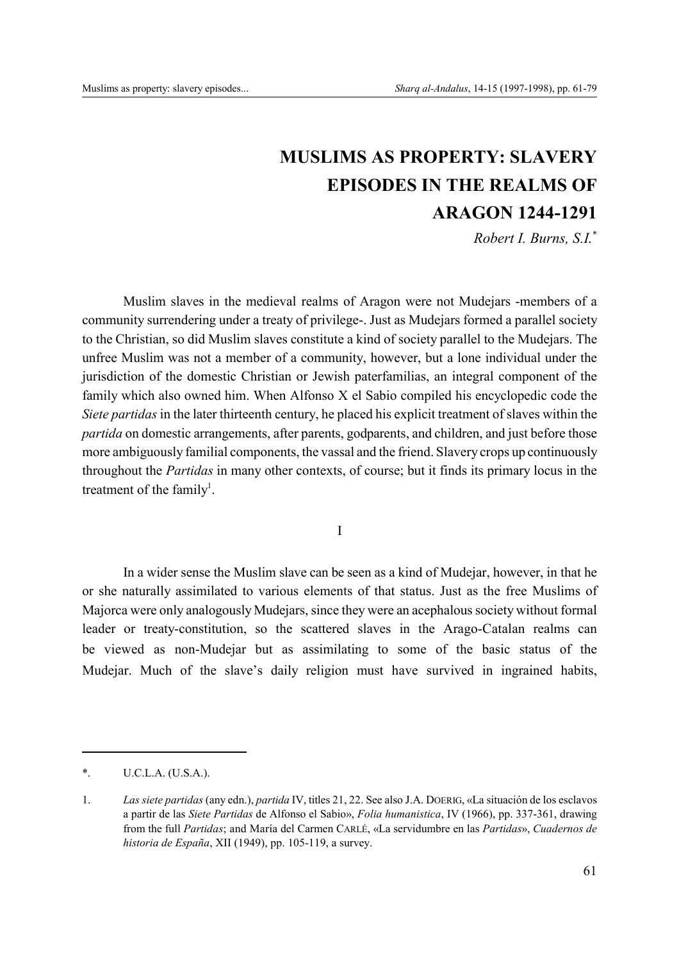# **MUSLIMS AS PROPERTY: SLAVERY EPISODES IN THE REALMS OF ARAGON 1244-1291**

*Robert I. Burns, S.I.*\*

Muslim slaves in the medieval realms of Aragon were not Mudejars -members of a community surrendering under a treaty of privilege-. Just as Mudejars formed a parallel society to the Christian, so did Muslim slaves constitute a kind of society parallel to the Mudejars. The unfree Muslim was not a member of a community, however, but a lone individual under the jurisdiction of the domestic Christian or Jewish paterfamilias, an integral component of the family which also owned him. When Alfonso X el Sabio compiled his encyclopedic code the *Siete partidas* in the later thirteenth century, he placed his explicit treatment of slaves within the *partida* on domestic arrangements, after parents, godparents, and children, and just before those more ambiguously familial components, the vassal and the friend. Slavery crops up continuously throughout the *Partidas* in many other contexts, of course; but it finds its primary locus in the treatment of the family<sup>1</sup>.

I

In a wider sense the Muslim slave can be seen as a kind of Mudejar, however, in that he or she naturally assimilated to various elements of that status. Just as the free Muslims of Majorca were only analogously Mudejars, since they were an acephalous society without formal leader or treaty-constitution, so the scattered slaves in the Arago-Catalan realms can be viewed as non-Mudejar but as assimilating to some of the basic status of the Mudejar. Much of the slave's daily religion must have survived in ingrained habits,

<sup>\*.</sup> U.C.L.A. (U.S.A.).

<sup>1.</sup> *Las siete partidas* (any edn.), *partida* IV, titles 21, 22. See also J.A. DOERIG, «La situación de los esclavos a partir de las *Siete Partidas* de Alfonso el Sabio», *Folia humanistica*, IV (1966), pp. 337-361, drawing from the full *Partidas*; and María del Carmen CARLÉ, «La servidumbre en las *Partidas*», *Cuadernos de historia de España*, XII (1949), pp. 105-119, a survey.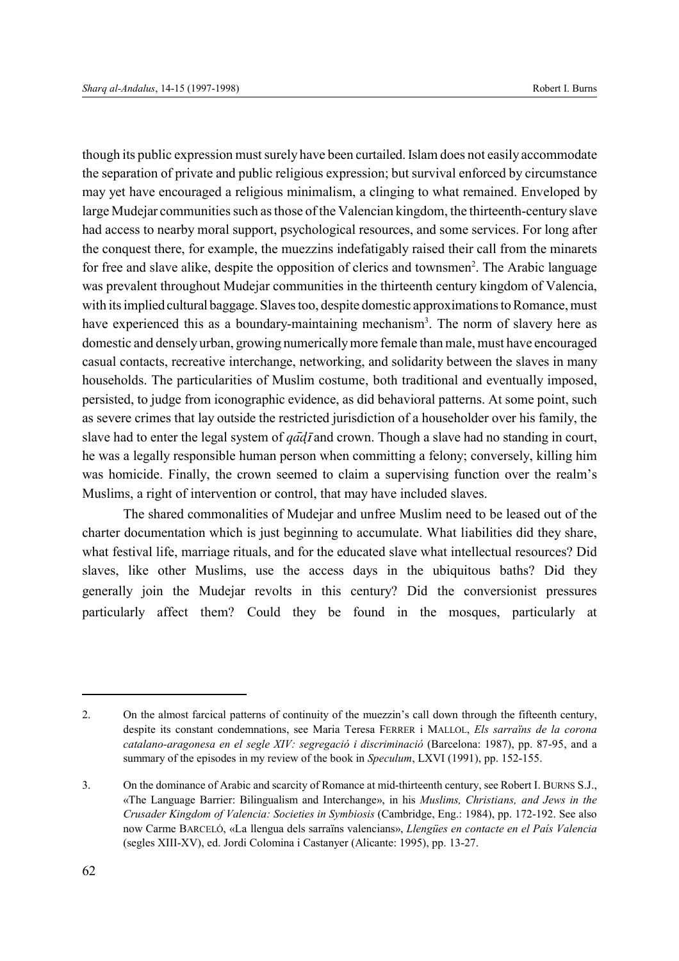though its public expression must surely have been curtailed. Islam does not easily accommodate the separation of private and public religious expression; but survival enforced by circumstance may yet have encouraged a religious minimalism, a clinging to what remained. Enveloped by large Mudejar communities such as those of the Valencian kingdom, the thirteenth-century slave had access to nearby moral support, psychological resources, and some services. For long after the conquest there, for example, the muezzins indefatigably raised their call from the minarets for free and slave alike, despite the opposition of clerics and townsmen<sup>2</sup>. The Arabic language was prevalent throughout Mudejar communities in the thirteenth century kingdom of Valencia, with its implied cultural baggage. Slaves too, despite domestic approximations to Romance, must have experienced this as a boundary-maintaining mechanism<sup>3</sup>. The norm of slavery here as domestic and densely urban, growing numerically more female than male, must have encouraged casual contacts, recreative interchange, networking, and solidarity between the slaves in many households. The particularities of Muslim costume, both traditional and eventually imposed, persisted, to judge from iconographic evidence, as did behavioral patterns. At some point, such as severe crimes that lay outside the restricted jurisdiction of a householder over his family, the slave had to enter the legal system of  $q\bar{a}d\bar{f}$  and crown. Though a slave had no standing in court, he was a legally responsible human person when committing a felony; conversely, killing him was homicide. Finally, the crown seemed to claim a supervising function over the realm's Muslims, a right of intervention or control, that may have included slaves.

The shared commonalities of Mudejar and unfree Muslim need to be leased out of the charter documentation which is just beginning to accumulate. What liabilities did they share, what festival life, marriage rituals, and for the educated slave what intellectual resources? Did slaves, like other Muslims, use the access days in the ubiquitous baths? Did they generally join the Mudejar revolts in this century? Did the conversionist pressures particularly affect them? Could they be found in the mosques, particularly at

<sup>2.</sup> On the almost farcical patterns of continuity of the muezzin's call down through the fifteenth century, despite its constant condemnations, see Maria Teresa FERRER i MALLOL, *Els sarraïns de la corona catalano-aragonesa en el segle XIV: segregació i discriminació* (Barcelona: 1987), pp. 87-95, and a summary of the episodes in my review of the book in *Speculum*, LXVI (1991), pp. 152-155.

<sup>3.</sup> On the dominance of Arabic and scarcity of Romance at mid-thirteenth century, see Robert I. BURNS S.J., «The Language Barrier: Bilingualism and Interchange», in his *Muslims, Christians, and Jews in the Crusader Kingdom of Valencia: Societies in Symbiosis* (Cambridge, Eng.: 1984), pp. 172-192. See also now Carme BARCELÓ, «La llengua dels sarraïns valencians», *Llengües en contacte en el País Valencia* (segles XIII-XV), ed. Jordi Colomina i Castanyer (Alicante: 1995), pp. 13-27.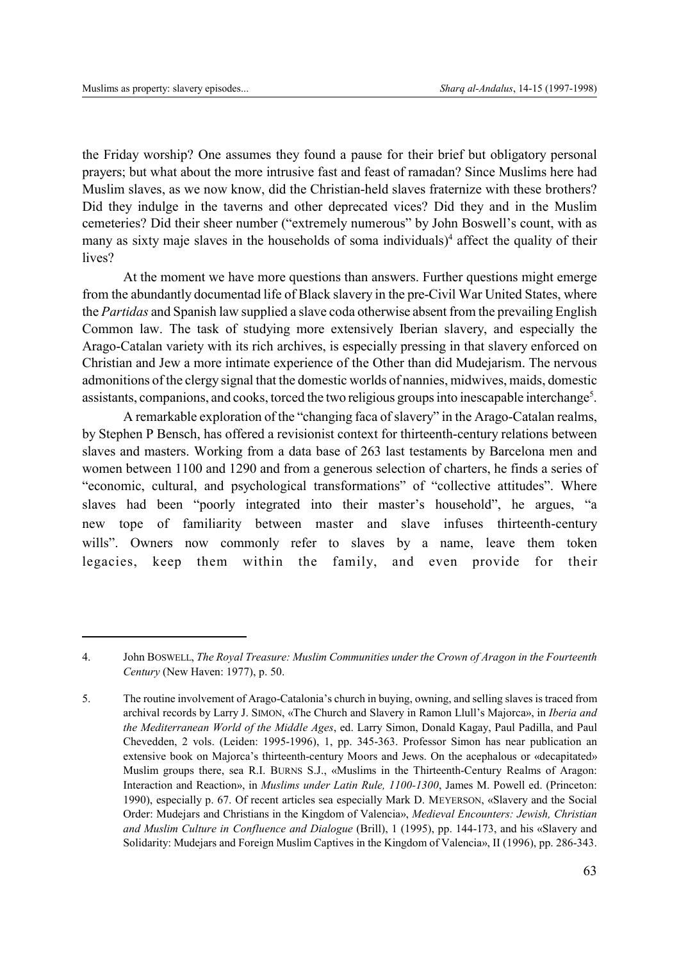the Friday worship? One assumes they found a pause for their brief but obligatory personal prayers; but what about the more intrusive fast and feast of ramadan? Since Muslims here had Muslim slaves, as we now know, did the Christian-held slaves fraternize with these brothers? Did they indulge in the taverns and other deprecated vices? Did they and in the Muslim cemeteries? Did their sheer number ("extremely numerous" by John Boswell's count, with as many as sixty maje slaves in the households of soma individuals)<sup>4</sup> affect the quality of their lives?

At the moment we have more questions than answers. Further questions might emerge from the abundantly documentad life of Black slavery in the pre-Civil War United States, where the *Partidas* and Spanish law supplied a slave coda otherwise absent from the prevailing English Common law. The task of studying more extensively Iberian slavery, and especially the Arago-Catalan variety with its rich archives, is especially pressing in that slavery enforced on Christian and Jew a more intimate experience of the Other than did Mudejarism. The nervous admonitions of the clergy signal that the domestic worlds of nannies, midwives, maids, domestic assistants, companions, and cooks, torced the two religious groups into inescapable interchange<sup>5</sup>.

A remarkable exploration of the "changing faca of slavery" in the Arago-Catalan realms, by Stephen P Bensch, has offered a revisionist context for thirteenth-century relations between slaves and masters. Working from a data base of 263 last testaments by Barcelona men and women between 1100 and 1290 and from a generous selection of charters, he finds a series of "economic, cultural, and psychological transformations" of "collective attitudes". Where slaves had been "poorly integrated into their master's household", he argues, "a new tope of familiarity between master and slave infuses thirteenth-century wills". Owners now commonly refer to slaves by a name, leave them token legacies, keep them within the family, and even provide for their

<sup>4.</sup> John BOSWELL, *The Royal Treasure: Muslim Communities under the Crown of Aragon in the Fourteenth Century* (New Haven: 1977), p. 50.

<sup>5.</sup> The routine involvement of Arago-Catalonia's church in buying, owning, and selling slaves is traced from archival records by Larry J. SIMON, «The Church and Slavery in Ramon Llull's Majorca», in *Iberia and the Mediterranean World of the Middle Ages*, ed. Larry Simon, Donald Kagay, Paul Padilla, and Paul Chevedden, 2 vols. (Leiden: 1995-1996), 1, pp. 345-363. Professor Simon has near publication an extensive book on Majorca's thirteenth-century Moors and Jews. On the acephalous or «decapitated» Muslim groups there, sea R.I. BURNS S.J., «Muslims in the Thirteenth-Century Realms of Aragon: Interaction and Reaction», in *Muslims under Latin Rule, 1100-1300*, James M. Powell ed. (Princeton: 1990), especially p. 67. Of recent articles sea especially Mark D. MEYERSON, «Slavery and the Social Order: Mudejars and Christians in the Kingdom of Valencia», *Medieval Encounters: Jewish, Christian and Muslim Culture in Confluence and Dialogue* (Brill), 1 (1995), pp. 144-173, and his «Slavery and Solidarity: Mudejars and Foreign Muslim Captives in the Kingdom of Valencia», II (1996), pp. 286-343.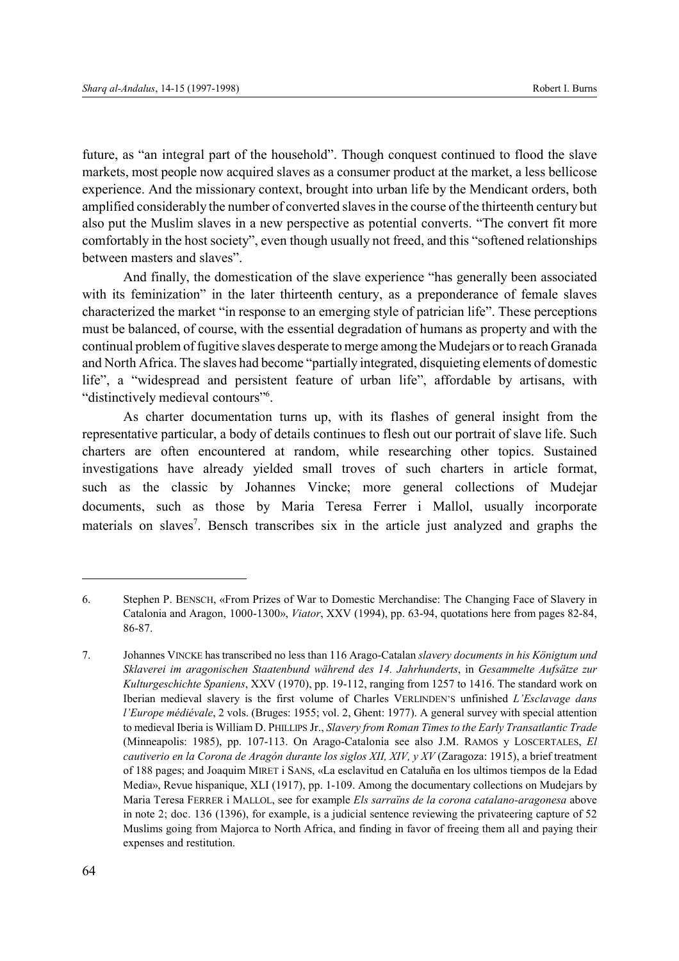future, as "an integral part of the household". Though conquest continued to flood the slave markets, most people now acquired slaves as a consumer product at the market, a less bellicose experience. And the missionary context, brought into urban life by the Mendicant orders, both amplified considerably the number of converted slaves in the course of the thirteenth century but also put the Muslim slaves in a new perspective as potential converts. "The convert fit more comfortably in the host society", even though usually not freed, and this "softened relationships between masters and slaves".

And finally, the domestication of the slave experience "has generally been associated with its feminization" in the later thirteenth century, as a preponderance of female slaves characterized the market "in response to an emerging style of patrician life". These perceptions must be balanced, of course, with the essential degradation of humans as property and with the continual problem of fugitive slaves desperate to merge among the Mudejars or to reach Granada and North Africa. The slaves had become "partially integrated, disquieting elements of domestic life", a "widespread and persistent feature of urban life", affordable by artisans, with "distinctively medieval contours"<sup>6</sup>.

As charter documentation turns up, with its flashes of general insight from the representative particular, a body of details continues to flesh out our portrait of slave life. Such charters are often encountered at random, while researching other topics. Sustained investigations have already yielded small troves of such charters in article format, such as the classic by Johannes Vincke; more general collections of Mudejar documents, such as those by Maria Teresa Ferrer i Mallol, usually incorporate materials on slaves<sup>7</sup>. Bensch transcribes six in the article just analyzed and graphs the

<sup>6.</sup> Stephen P. BENSCH, «From Prizes of War to Domestic Merchandise: The Changing Face of Slavery in Catalonia and Aragon, 1000-1300», *Viator*, XXV (1994), pp. 63-94, quotations here from pages 82-84, 86-87.

<sup>7.</sup> Johannes VINCKE has transcribed no less than 116 Arago-Catalan *slavery documents in his Königtum und Sklaverei im aragonischen Staatenbund während des 14. Jahrhunderts*, in *Gesammelte Aufsätze zur Kulturgeschichte Spaniens*, XXV (1970), pp. 19-112, ranging from 1257 to 1416. The standard work on Iberian medieval slavery is the first volume of Charles VERLINDEN'S unfinished *L'Esclavage dans l'Europe médiévale*, 2 vols. (Bruges: 1955; vol. 2, Ghent: 1977). A general survey with special attention to medieval Iberia is William D. PHILLIPS Jr., *Slavery from Roman Times to the Early Transatlantic Trade* (Minneapolis: 1985), pp. 107-113. On Arago-Catalonia see also J.M. RAMOS y LOSCERTALES, *El cautiverio en la Corona de Aragón durante los siglos XII, XIV, y XV* (Zaragoza: 1915), a brief treatment of 188 pages; and Joaquim MIRET i SANS, «La esclavitud en Cataluña en los ultimos tiempos de la Edad Media», Revue hispanique, XLI (1917), pp. 1-109. Among the documentary collections on Mudejars by Maria Teresa FERRER i MALLOL, see for example *Els sarraïns de la corona catalano-aragonesa* above in note 2; doc. 136 (1396), for example, is a judicial sentence reviewing the privateering capture of 52 Muslims going from Majorca to North Africa, and finding in favor of freeing them all and paying their expenses and restitution.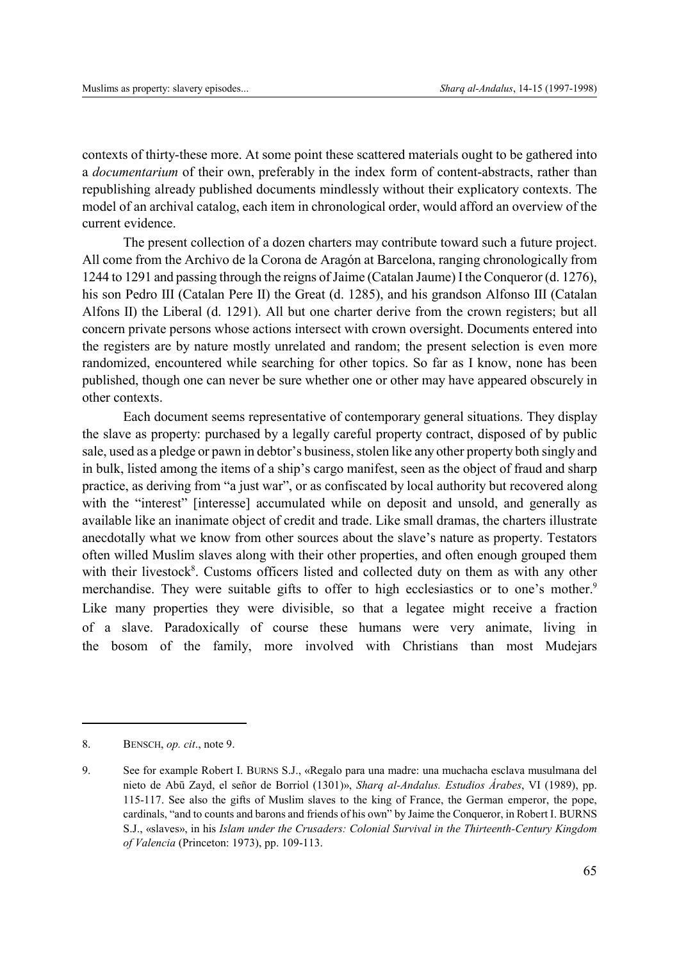contexts of thirty-these more. At some point these scattered materials ought to be gathered into a *documentarium* of their own, preferably in the index form of content-abstracts, rather than republishing already published documents mindlessly without their explicatory contexts. The model of an archival catalog, each item in chronological order, would afford an overview of the current evidence.

The present collection of a dozen charters may contribute toward such a future project. All come from the Archivo de la Corona de Aragón at Barcelona, ranging chronologically from 1244 to 1291 and passing through the reigns of Jaime (Catalan Jaume) I the Conqueror (d. 1276), his son Pedro III (Catalan Pere II) the Great (d. 1285), and his grandson Alfonso III (Catalan Alfons II) the Liberal (d. 1291). All but one charter derive from the crown registers; but all concern private persons whose actions intersect with crown oversight. Documents entered into the registers are by nature mostly unrelated and random; the present selection is even more randomized, encountered while searching for other topics. So far as I know, none has been published, though one can never be sure whether one or other may have appeared obscurely in other contexts.

Each document seems representative of contemporary general situations. They display the slave as property: purchased by a legally careful property contract, disposed of by public sale, used as a pledge or pawn in debtor's business, stolen like any other property both singly and in bulk, listed among the items of a ship's cargo manifest, seen as the object of fraud and sharp practice, as deriving from "a just war", or as confiscated by local authority but recovered along with the "interest" [interesse] accumulated while on deposit and unsold, and generally as available like an inanimate object of credit and trade. Like small dramas, the charters illustrate anecdotally what we know from other sources about the slave's nature as property. Testators often willed Muslim slaves along with their other properties, and often enough grouped them with their livestock<sup>8</sup>. Customs officers listed and collected duty on them as with any other merchandise. They were suitable gifts to offer to high ecclesiastics or to one's mother.<sup>9</sup> Like many properties they were divisible, so that a legatee might receive a fraction of a slave. Paradoxically of course these humans were very animate, living in the bosom of the family, more involved with Christians than most Mudejars

<sup>8.</sup> BENSCH, *op. cit*., note 9.

<sup>9.</sup> See for example Robert I. BURNS S.J., «Regalo para una madre: una muchacha esclava musulmana del nieto de Abū Zayd, el señor de Borriol (1301)», *Sharq al-Andalus. Estudios Árabes*, VI (1989), pp. 115-117. See also the gifts of Muslim slaves to the king of France, the German emperor, the pope, cardinals, "and to counts and barons and friends of his own" by Jaime the Conqueror, in Robert I. BURNS S.J., «slaves», in his *Islam under the Crusaders: Colonial Survival in the Thirteenth-Century Kingdom of Valencia* (Princeton: 1973), pp. 109-113.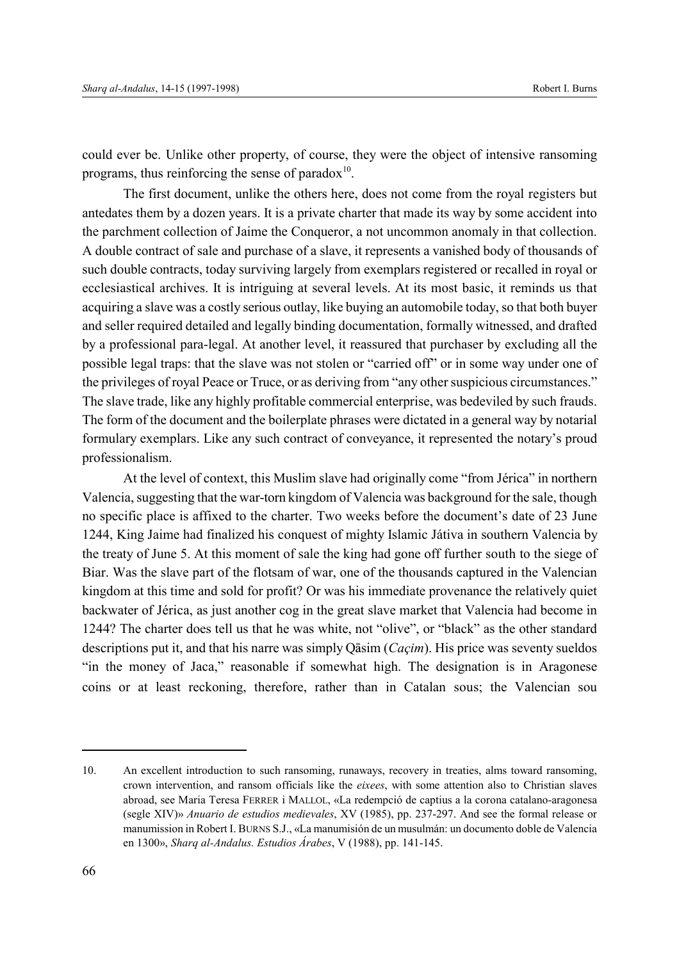could ever be. Unlike other property, of course, they were the object of intensive ransoming programs, thus reinforcing the sense of paradox $10$ .

The first document, unlike the others here, does not come from the royal registers but antedates them by a dozen years. It is a private charter that made its way by some accident into the parchment collection of Jaime the Conqueror, a not uncommon anomaly in that collection. A double contract of sale and purchase of a slave, it represents a vanished body of thousands of such double contracts, today surviving largely from exemplars registered or recalled in royal or ecclesiastical archives. It is intriguing at several levels. At its most basic, it reminds us that acquiring a slave was a costly serious outlay, like buying an automobile today, so that both buyer and seller required detailed and legally binding documentation, formally witnessed, and drafted by a professional para-legal. At another level, it reassured that purchaser by excluding all the possible legal traps: that the slave was not stolen or "carried off" or in some way under one of the privileges of royal Peace or Truce, or as deriving from "any other suspicious circumstances." The slave trade, like any highly profitable commercial enterprise, was bedeviled by such frauds. The form of the document and the boilerplate phrases were dictated in a general way by notarial formulary exemplars. Like any such contract of conveyance, it represented the notary's proud professionalism.

At the level of context, this Muslim slave had originally come "from Jérica" in northern Valencia, suggesting that the war-torn kingdom of Valencia was background for the sale, though no specific place is affixed to the charter. Two weeks before the document's date of 23 June 1244, King Jaime had finalized his conquest of mighty Islamic Játiva in southern Valencia by the treaty of June 5. At this moment of sale the king had gone off further south to the siege of Biar. Was the slave part of the flotsam of war, one of the thousands captured in the Valencian kingdom at this time and sold for profit? Or was his immediate provenance the relatively quiet backwater of Jérica, as just another cog in the great slave market that Valencia had become in 1244? The charter does tell us that he was white, not "olive", or "black" as the other standard descriptions put it, and that his narre was simply Qasim (*Caçim*). His price was seventy sueldos "in the money of Jaca," reasonable if somewhat high. The designation is in Aragonese coins or at least reckoning, therefore, rather than in Catalan sous; the Valencian sou

<sup>10.</sup> An excellent introduction to such ransoming, runaways, recovery in treaties, alms toward ransoming, crown intervention, and ransom officials like the *eixees*, with some attention also to Christian slaves abroad, see Maria Teresa FERRER i MALLOL, «La redempció de captius a la corona catalano-aragonesa (segle XIV)» *Anuario de estudios medievales*, XV (1985), pp. 237-297. And see the formal release or manumission in Robert I. BURNS S.J., «La manumisión de un musulmán: un documento doble de Valencia en 1300», *Sharq al-Andalus. Estudios Árabes*, V (1988), pp. 141-145.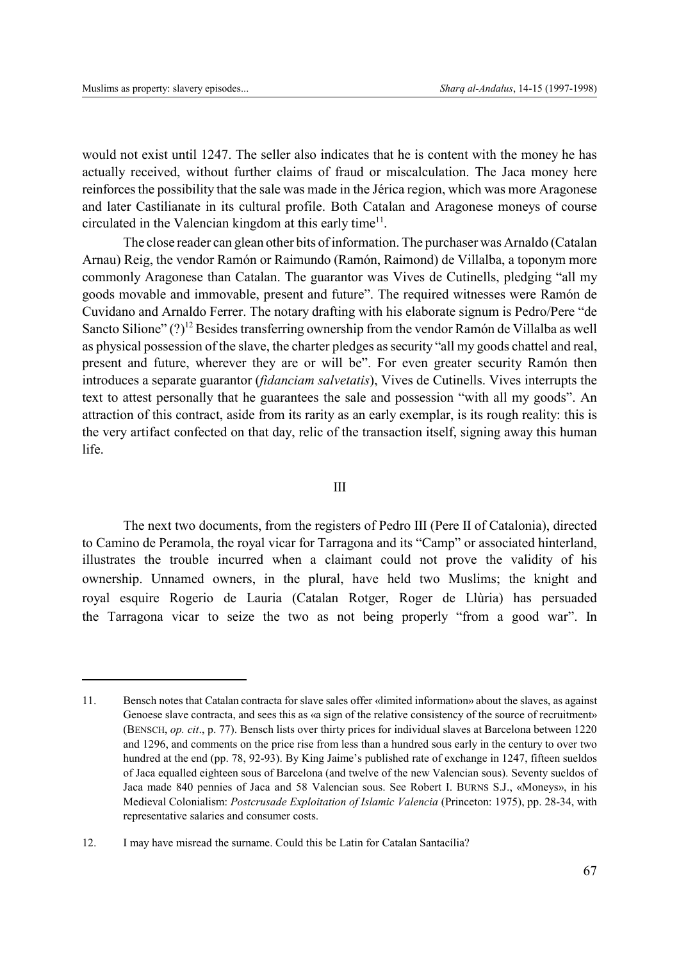would not exist until 1247. The seller also indicates that he is content with the money he has actually received, without further claims of fraud or miscalculation. The Jaca money here reinforces the possibility that the sale was made in the Jérica region, which was more Aragonese and later Castilianate in its cultural profile. Both Catalan and Aragonese moneys of course circulated in the Valencian kingdom at this early time<sup>11</sup>.

The close reader can glean other bits of information. The purchaser was Arnaldo (Catalan Arnau) Reig, the vendor Ramón or Raimundo (Ramón, Raimond) de Villalba, a toponym more commonly Aragonese than Catalan. The guarantor was Vives de Cutinells, pledging "all my goods movable and immovable, present and future". The required witnesses were Ramón de Cuvidano and Arnaldo Ferrer. The notary drafting with his elaborate signum is Pedro/Pere "de Sancto Silione"  $(?)^{12}$  Besides transferring ownership from the vendor Ramón de Villalba as well as physical possession of the slave, the charter pledges as security "all my goods chattel and real, present and future, wherever they are or will be". For even greater security Ramón then introduces a separate guarantor (*fidanciam salvetatis*), Vives de Cutinells. Vives interrupts the text to attest personally that he guarantees the sale and possession "with all my goods". An attraction of this contract, aside from its rarity as an early exemplar, is its rough reality: this is the very artifact confected on that day, relic of the transaction itself, signing away this human life.

# III

The next two documents, from the registers of Pedro III (Pere II of Catalonia), directed to Camino de Peramola, the royal vicar for Tarragona and its "Camp" or associated hinterland, illustrates the trouble incurred when a claimant could not prove the validity of his ownership. Unnamed owners, in the plural, have held two Muslims; the knight and royal esquire Rogerio de Lauria (Catalan Rotger, Roger de Llùria) has persuaded the Tarragona vicar to seize the two as not being properly "from a good war". In

<sup>11.</sup> Bensch notes that Catalan contracta for slave sales offer «limited information» about the slaves, as against Genoese slave contracta, and sees this as «a sign of the relative consistency of the source of recruitment» (BENSCH, *op. cit*., p. 77). Bensch lists over thirty prices for individual slaves at Barcelona between 1220 and 1296, and comments on the price rise from less than a hundred sous early in the century to over two hundred at the end (pp. 78, 92-93). By King Jaime's published rate of exchange in 1247, fifteen sueldos of Jaca equalled eighteen sous of Barcelona (and twelve of the new Valencian sous). Seventy sueldos of Jaca made 840 pennies of Jaca and 58 Valencian sous. See Robert I. BURNS S.J., «Moneys», in his Medieval Colonialism: *Postcrusade Exploitation of Islamic Valencia* (Princeton: 1975), pp. 28-34, with representative salaries and consumer costs.

<sup>12.</sup> I may have misread the surname. Could this be Latin for Catalan Santacília?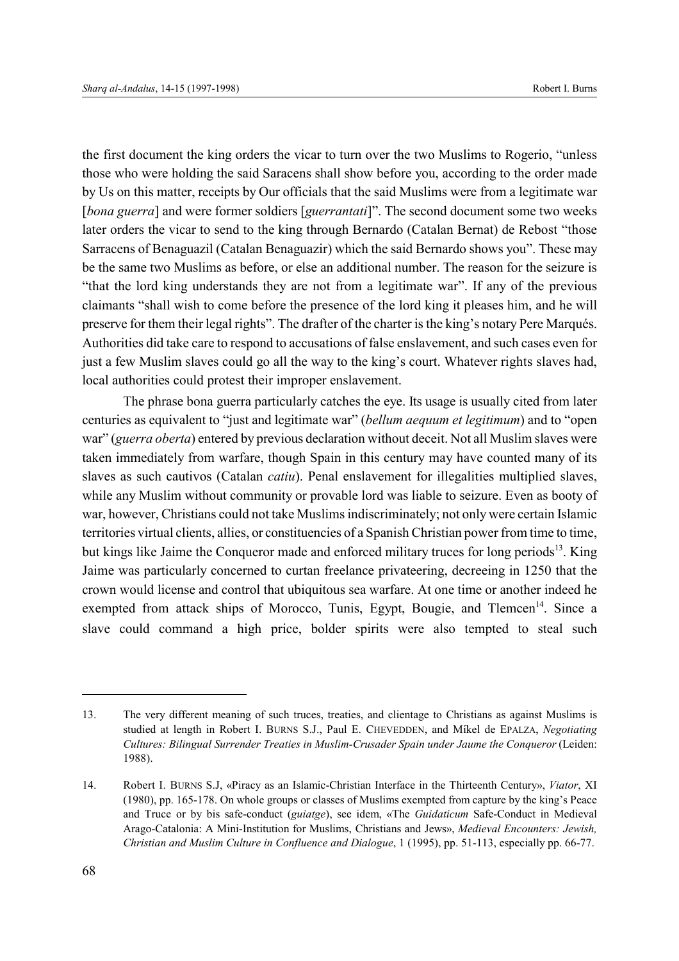the first document the king orders the vicar to turn over the two Muslims to Rogerio, "unless those who were holding the said Saracens shall show before you, according to the order made by Us on this matter, receipts by Our officials that the said Muslims were from a legitimate war [*bona guerra*] and were former soldiers [*guerrantati*]". The second document some two weeks later orders the vicar to send to the king through Bernardo (Catalan Bernat) de Rebost "those Sarracens of Benaguazil (Catalan Benaguazir) which the said Bernardo shows you". These may be the same two Muslims as before, or else an additional number. The reason for the seizure is "that the lord king understands they are not from a legitimate war". If any of the previous claimants "shall wish to come before the presence of the lord king it pleases him, and he will preserve for them their legal rights". The drafter of the charter is the king's notary Pere Marqués. Authorities did take care to respond to accusations of false enslavement, and such cases even for just a few Muslim slaves could go all the way to the king's court. Whatever rights slaves had, local authorities could protest their improper enslavement.

The phrase bona guerra particularly catches the eye. Its usage is usually cited from later centuries as equivalent to "just and legitimate war" (*bellum aequum et legitimum*) and to "open war" (*guerra oberta*) entered by previous declaration without deceit. Not all Muslim slaves were taken immediately from warfare, though Spain in this century may have counted many of its slaves as such cautivos (Catalan *catiu*). Penal enslavement for illegalities multiplied slaves, while any Muslim without community or provable lord was liable to seizure. Even as booty of war, however, Christians could not take Muslims indiscriminately; not only were certain Islamic territories virtual clients, allies, or constituencies of a Spanish Christian power from time to time, but kings like Jaime the Conqueror made and enforced military truces for long periods<sup>13</sup>. King Jaime was particularly concerned to curtan freelance privateering, decreeing in 1250 that the crown would license and control that ubiquitous sea warfare. At one time or another indeed he exempted from attack ships of Morocco, Tunis, Egypt, Bougie, and Tlemcen<sup>14</sup>. Since a slave could command a high price, bolder spirits were also tempted to steal such

<sup>13.</sup> The very different meaning of such truces, treaties, and clientage to Christians as against Muslims is studied at length in Robert I. BURNS S.J., Paul E. CHEVEDDEN, and Míkel de EPALZA, *Negotiating Cultures: Bilingual Surrender Treaties in Muslim-Crusader Spain under Jaume the Conqueror* (Leiden: 1988).

<sup>14.</sup> Robert I. BURNS S.J, «Piracy as an Islamic-Christian Interface in the Thirteenth Century», *Viator*, XI (1980), pp. 165-178. On whole groups or classes of Muslims exempted from capture by the king's Peace and Truce or by bis safe-conduct (*guiatge*), see idem, «The *Guidaticum* Safe-Conduct in Medieval Arago-Catalonia: A Mini-Institution for Muslims, Christians and Jews», *Medieval Encounters: Jewish, Christian and Muslim Culture in Confluence and Dialogue*, 1 (1995), pp. 51-113, especially pp. 66-77.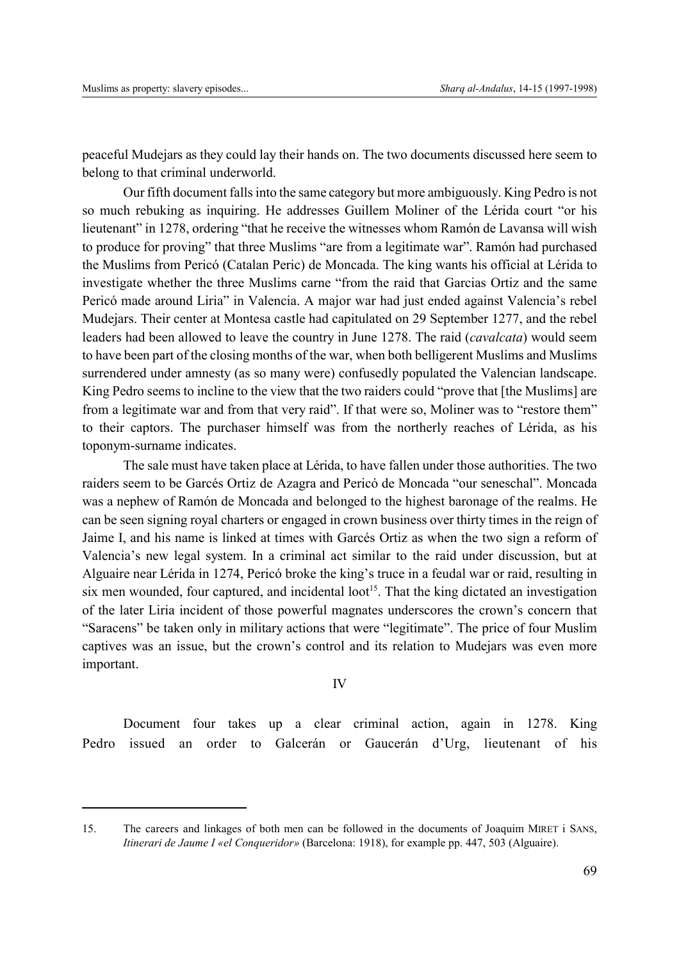peaceful Mudejars as they could lay their hands on. The two documents discussed here seem to belong to that criminal underworld.

Our fifth document falls into the same category but more ambiguously. King Pedro is not so much rebuking as inquiring. He addresses Guillem Moliner of the Lérida court "or his lieutenant" in 1278, ordering "that he receive the witnesses whom Ramón de Lavansa will wish to produce for proving" that three Muslims "are from a legitimate war". Ramón had purchased the Muslims from Pericó (Catalan Peric) de Moncada. The king wants his official at Lérida to investigate whether the three Muslims carne "from the raid that Garcias Ortiz and the same Pericó made around Liria" in Valencia. A major war had just ended against Valencia's rebel Mudejars. Their center at Montesa castle had capitulated on 29 September 1277, and the rebel leaders had been allowed to leave the country in June 1278. The raid (*cavalcata*) would seem to have been part of the closing months of the war, when both belligerent Muslims and Muslims surrendered under amnesty (as so many were) confusedly populated the Valencian landscape. King Pedro seems to incline to the view that the two raiders could "prove that [the Muslims] are from a legitimate war and from that very raid". If that were so, Moliner was to "restore them" to their captors. The purchaser himself was from the northerly reaches of Lérida, as his toponym-surname indicates.

The sale must have taken place at Lérida, to have fallen under those authorities. The two raiders seem to be Garcés Ortiz de Azagra and Pericó de Moncada "our seneschal". Moncada was a nephew of Ramón de Moncada and belonged to the highest baronage of the realms. He can be seen signing royal charters or engaged in crown business over thirty times in the reign of Jaime I, and his name is linked at times with Garcés Ortiz as when the two sign a reform of Valencia's new legal system. In a criminal act similar to the raid under discussion, but at Alguaire near Lérida in 1274, Pericó broke the king's truce in a feudal war or raid, resulting in six men wounded, four captured, and incidental loot<sup>15</sup>. That the king dictated an investigation of the later Liria incident of those powerful magnates underscores the crown's concern that "Saracens" be taken only in military actions that were "legitimate". The price of four Muslim captives was an issue, but the crown's control and its relation to Mudejars was even more important.

# IV

Document four takes up a clear criminal action, again in 1278. King Pedro issued an order to Galcerán or Gaucerán d'Urg, lieutenant of his

<sup>15.</sup> The careers and linkages of both men can be followed in the documents of Joaquim MIRET i SANS, *Itinerari de Jaume I «el Conqueridor»* (Barcelona: 1918), for example pp. 447, 503 (Alguaire).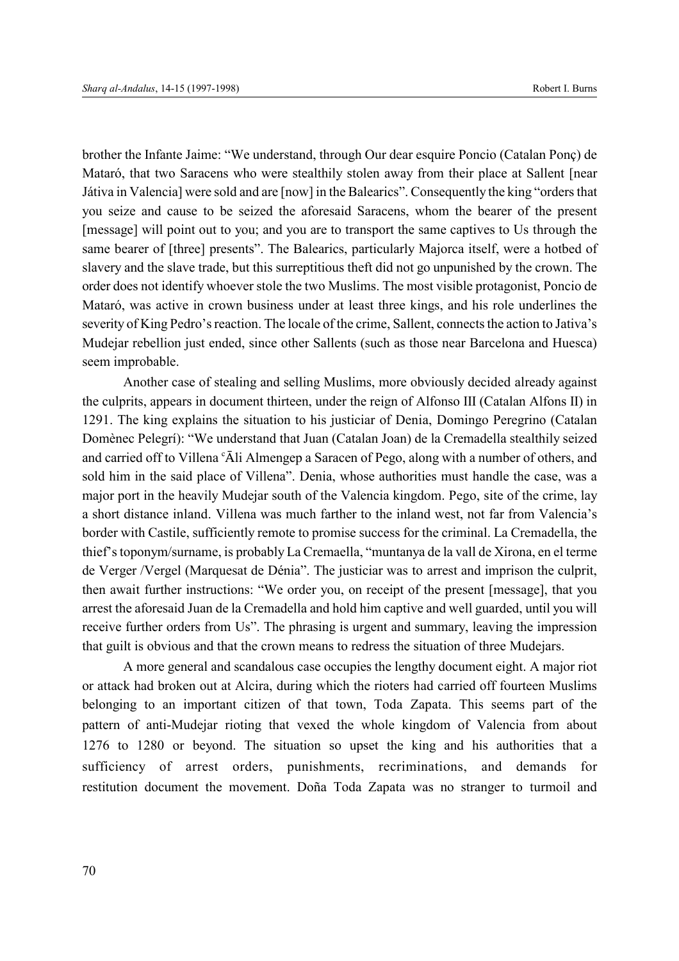brother the Infante Jaime: "We understand, through Our dear esquire Poncio (Catalan Ponç) de Mataró, that two Saracens who were stealthily stolen away from their place at Sallent [near Játiva in Valencia] were sold and are [now] in the Balearics". Consequently the king "orders that you seize and cause to be seized the aforesaid Saracens, whom the bearer of the present [message] will point out to you; and you are to transport the same captives to Us through the same bearer of [three] presents". The Balearics, particularly Majorca itself, were a hotbed of slavery and the slave trade, but this surreptitious theft did not go unpunished by the crown. The order does not identify whoever stole the two Muslims. The most visible protagonist, Poncio de Mataró, was active in crown business under at least three kings, and his role underlines the severity of King Pedro's reaction. The locale of the crime, Sallent, connects the action to Jativa's Mudejar rebellion just ended, since other Sallents (such as those near Barcelona and Huesca) seem improbable.

Another case of stealing and selling Muslims, more obviously decided already against the culprits, appears in document thirteen, under the reign of Alfonso III (Catalan Alfons II) in 1291. The king explains the situation to his justiciar of Denia, Domingo Peregrino (Catalan Domènec Pelegrí): "We understand that Juan (Catalan Joan) de la Cremadella stealthily seized and carried off to Villena 'Ali Almengep a Saracen of Pego, along with a number of others, and sold him in the said place of Villena". Denia, whose authorities must handle the case, was a major port in the heavily Mudejar south of the Valencia kingdom. Pego, site of the crime, lay a short distance inland. Villena was much farther to the inland west, not far from Valencia's border with Castile, sufficiently remote to promise success for the criminal. La Cremadella, the thief's toponym/surname, is probably La Cremaella, "muntanya de la vall de Xirona, en el terme de Verger /Vergel (Marquesat de Dénia". The justiciar was to arrest and imprison the culprit, then await further instructions: "We order you, on receipt of the present [message], that you arrest the aforesaid Juan de la Cremadella and hold him captive and well guarded, until you will receive further orders from Us". The phrasing is urgent and summary, leaving the impression that guilt is obvious and that the crown means to redress the situation of three Mudejars.

A more general and scandalous case occupies the lengthy document eight. A major riot or attack had broken out at Alcira, during which the rioters had carried off fourteen Muslims belonging to an important citizen of that town, Toda Zapata. This seems part of the pattern of anti-Mudejar rioting that vexed the whole kingdom of Valencia from about 1276 to 1280 or beyond. The situation so upset the king and his authorities that a sufficiency of arrest orders, punishments, recriminations, and demands for restitution document the movement. Doña Toda Zapata was no stranger to turmoil and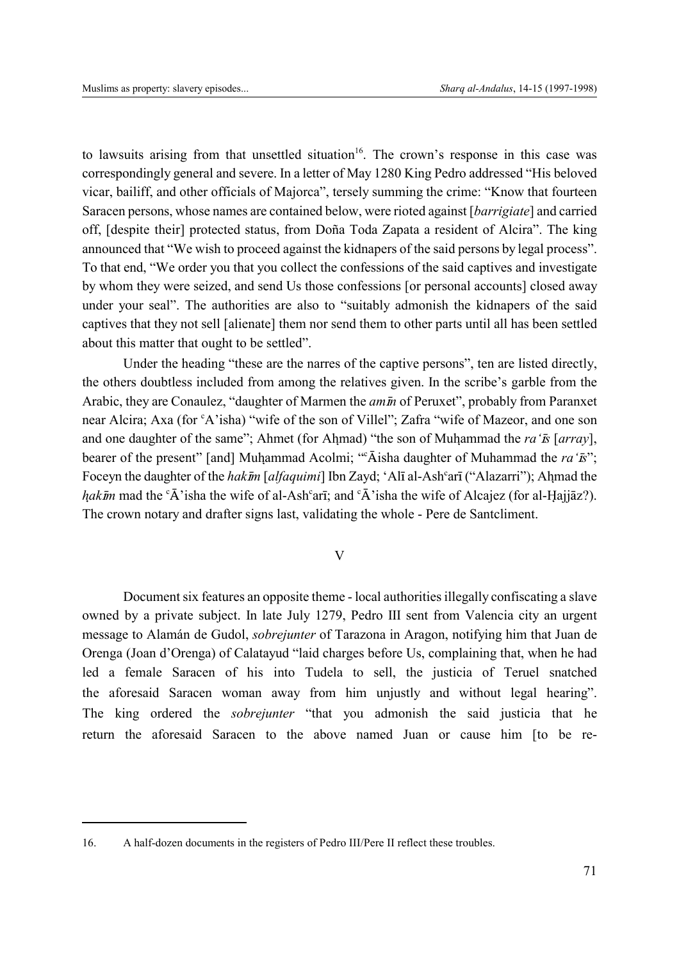to lawsuits arising from that unsettled situation<sup>16</sup>. The crown's response in this case was correspondingly general and severe. In a letter of May 1280 King Pedro addressed "His beloved vicar, bailiff, and other officials of Majorca", tersely summing the crime: "Know that fourteen Saracen persons, whose names are contained below, were rioted against [*barrigiate*] and carried off, [despite their] protected status, from Doña Toda Zapata a resident of Alcira". The king announced that "We wish to proceed against the kidnapers of the said persons by legal process". To that end, "We order you that you collect the confessions of the said captives and investigate by whom they were seized, and send Us those confessions [or personal accounts] closed away under your seal". The authorities are also to "suitably admonish the kidnapers of the said captives that they not sell [alienate] them nor send them to other parts until all has been settled about this matter that ought to be settled".

Under the heading "these are the narres of the captive persons", ten are listed directly, the others doubtless included from among the relatives given. In the scribe's garble from the Arabic, they are Conaulez, "daughter of Marmen the *amn* of Peruxet", probably from Paranxet near Alcira; Axa (for 'A'isha) "wife of the son of Villel"; Zafra "wife of Mazeor, and one son and one daughter of the same"; Ahmet (for Ahmad) "the son of Muhammad the *ra* '*Is* [*array*], bearer of the present" [and] Muhammad Acolmi; ""Āisha daughter of Muhammad the *ra'<sup><i>rs*"</sup>;<br>Feasy in the daughter of the *habīn* [alfaquimi] Jhn Zaud: 'Alī al-Ach<sup>e</sup>erī' ("Algaqui"); Ahmad the Foceyn the daughter of the *hakim* [alfaquimi] Ibn Zayd; 'Alī al-Ash<sup>c</sup>arī ("Alazarri"); Ahmad the<br>hakāy mod the <sup>8</sup> b<sup>2</sup> ishe the vife of al-Ash<sup>c</sup>arī; and <sup>8</sup> b<sup>2</sup> ishe the vife of Alasiar (for al-Usijāz?) *hakīm* mad the <sup>c</sup>A' isha the wife of al-Ash<sup>c</sup>arī; and <sup>c</sup>A' isha the wife of Alcajez (for al-Ḥajjāz?).<br>The group notary and drafter signs lest velidating the whole. Pere de Santaliment The crown notary and drafter signs last, validating the whole - Pere de Santcliment.

# V

Document six features an opposite theme - local authorities illegally confiscating a slave owned by a private subject. In late July 1279, Pedro III sent from Valencia city an urgent message to Alamán de Gudol, *sobrejunter* of Tarazona in Aragon, notifying him that Juan de Orenga (Joan d'Orenga) of Calatayud "laid charges before Us, complaining that, when he had led a female Saracen of his into Tudela to sell, the justicia of Teruel snatched the aforesaid Saracen woman away from him unjustly and without legal hearing". The king ordered the *sobrejunter* "that you admonish the said justicia that he return the aforesaid Saracen to the above named Juan or cause him [to be re-

<sup>16.</sup> A half-dozen documents in the registers of Pedro III/Pere II reflect these troubles.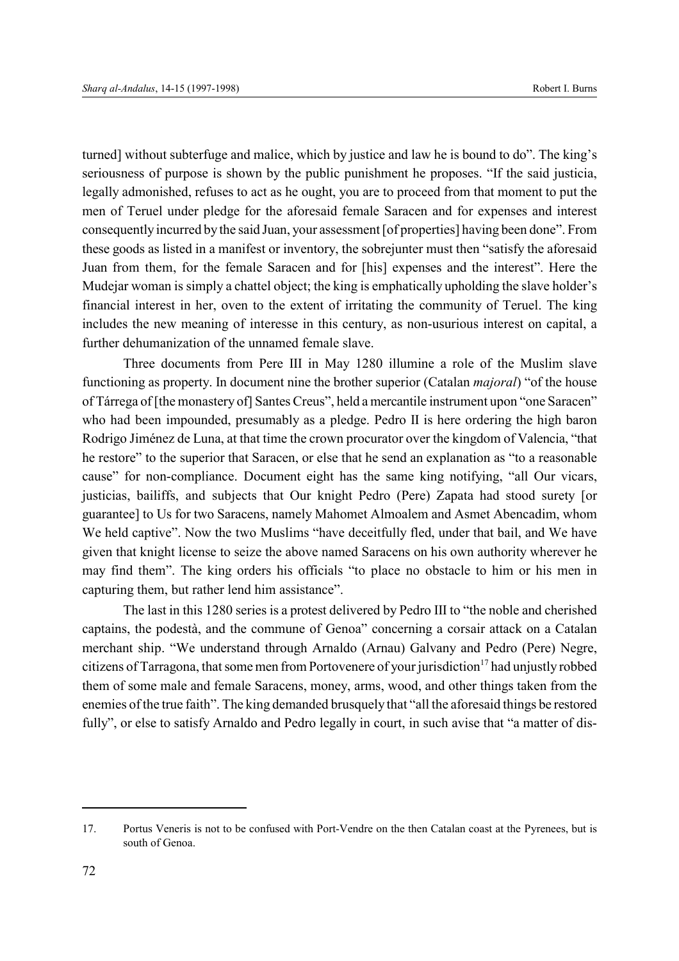turned] without subterfuge and malice, which by justice and law he is bound to do". The king's seriousness of purpose is shown by the public punishment he proposes. "If the said justicia, legally admonished, refuses to act as he ought, you are to proceed from that moment to put the men of Teruel under pledge for the aforesaid female Saracen and for expenses and interest consequently incurred by the said Juan, your assessment [of properties] having been done". From these goods as listed in a manifest or inventory, the sobrejunter must then "satisfy the aforesaid Juan from them, for the female Saracen and for [his] expenses and the interest". Here the Mudejar woman is simply a chattel object; the king is emphatically upholding the slave holder's financial interest in her, oven to the extent of irritating the community of Teruel. The king includes the new meaning of interesse in this century, as non-usurious interest on capital, a further dehumanization of the unnamed female slave.

Three documents from Pere III in May 1280 illumine a role of the Muslim slave functioning as property. In document nine the brother superior (Catalan *majoral*) "of the house of Tárrega of [the monastery of] Santes Creus", held a mercantile instrument upon "one Saracen" who had been impounded, presumably as a pledge. Pedro II is here ordering the high baron Rodrigo Jiménez de Luna, at that time the crown procurator over the kingdom of Valencia, "that he restore" to the superior that Saracen, or else that he send an explanation as "to a reasonable cause" for non-compliance. Document eight has the same king notifying, "all Our vicars, justicias, bailiffs, and subjects that Our knight Pedro (Pere) Zapata had stood surety [or guarantee] to Us for two Saracens, namely Mahomet Almoalem and Asmet Abencadim, whom We held captive". Now the two Muslims "have deceitfully fled, under that bail, and We have given that knight license to seize the above named Saracens on his own authority wherever he may find them". The king orders his officials "to place no obstacle to him or his men in capturing them, but rather lend him assistance".

The last in this 1280 series is a protest delivered by Pedro III to "the noble and cherished captains, the podestà, and the commune of Genoa" concerning a corsair attack on a Catalan merchant ship. "We understand through Arnaldo (Arnau) Galvany and Pedro (Pere) Negre, citizens of Tarragona, that some men from Portovenere of your jurisdiction<sup>17</sup> had unjustly robbed them of some male and female Saracens, money, arms, wood, and other things taken from the enemies of the true faith". The king demanded brusquely that "all the aforesaid things be restored fully", or else to satisfy Arnaldo and Pedro legally in court, in such avise that "a matter of dis-

<sup>17.</sup> Portus Veneris is not to be confused with Port-Vendre on the then Catalan coast at the Pyrenees, but is south of Genoa.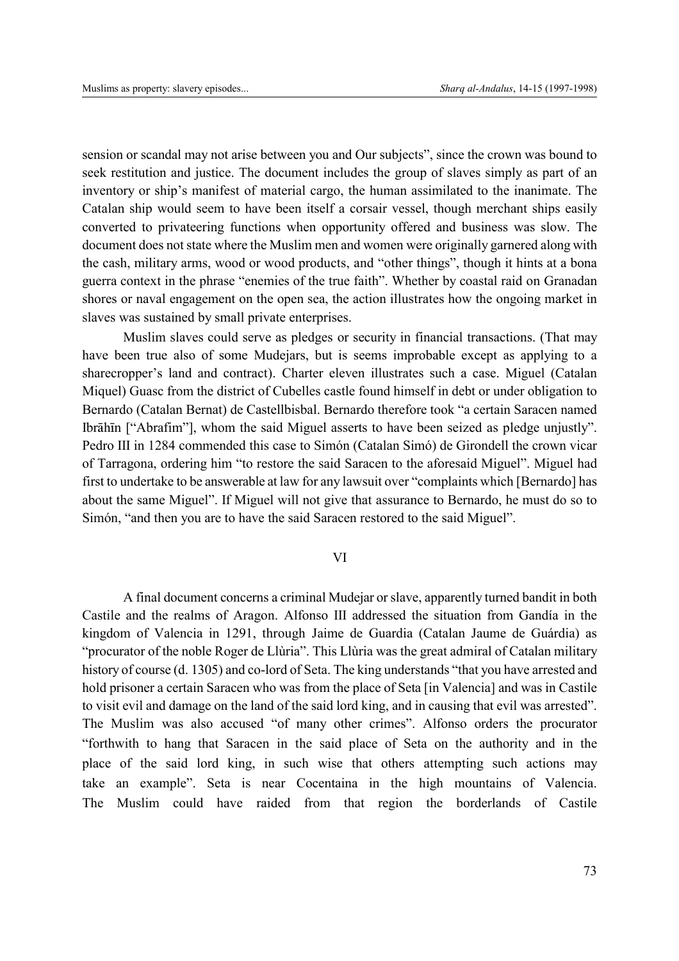sension or scandal may not arise between you and Our subjects", since the crown was bound to seek restitution and justice. The document includes the group of slaves simply as part of an inventory or ship's manifest of material cargo, the human assimilated to the inanimate. The Catalan ship would seem to have been itself a corsair vessel, though merchant ships easily converted to privateering functions when opportunity offered and business was slow. The document does not state where the Muslim men and women were originally garnered along with the cash, military arms, wood or wood products, and "other things", though it hints at a bona guerra context in the phrase "enemies of the true faith". Whether by coastal raid on Granadan shores or naval engagement on the open sea, the action illustrates how the ongoing market in slaves was sustained by small private enterprises.

Muslim slaves could serve as pledges or security in financial transactions. (That may have been true also of some Mudejars, but is seems improbable except as applying to a sharecropper's land and contract). Charter eleven illustrates such a case. Miguel (Catalan Miquel) Guasc from the district of Cubelles castle found himself in debt or under obligation to Bernardo (Catalan Bernat) de Castellbisbal. Bernardo therefore took "a certain Saracen named Ibrāhīn ["Abrafim"], whom the said Miguel asserts to have been seized as pledge unjustly". Pedro III in 1284 commended this case to Simón (Catalan Simó) de Girondell the crown vicar of Tarragona, ordering him "to restore the said Saracen to the aforesaid Miguel". Miguel had first to undertake to be answerable at law for any lawsuit over "complaints which [Bernardo] has about the same Miguel". If Miguel will not give that assurance to Bernardo, he must do so to Simón, "and then you are to have the said Saracen restored to the said Miguel".

# VI

A final document concerns a criminal Mudejar or slave, apparently turned bandit in both Castile and the realms of Aragon. Alfonso III addressed the situation from Gandía in the kingdom of Valencia in 1291, through Jaime de Guardia (Catalan Jaume de Guárdia) as "procurator of the noble Roger de Llùria". This Llùria was the great admiral of Catalan military history of course (d. 1305) and co-lord of Seta. The king understands "that you have arrested and hold prisoner a certain Saracen who was from the place of Seta [in Valencia] and was in Castile to visit evil and damage on the land of the said lord king, and in causing that evil was arrested". The Muslim was also accused "of many other crimes". Alfonso orders the procurator "forthwith to hang that Saracen in the said place of Seta on the authority and in the place of the said lord king, in such wise that others attempting such actions may take an example". Seta is near Cocentaina in the high mountains of Valencia. The Muslim could have raided from that region the borderlands of Castile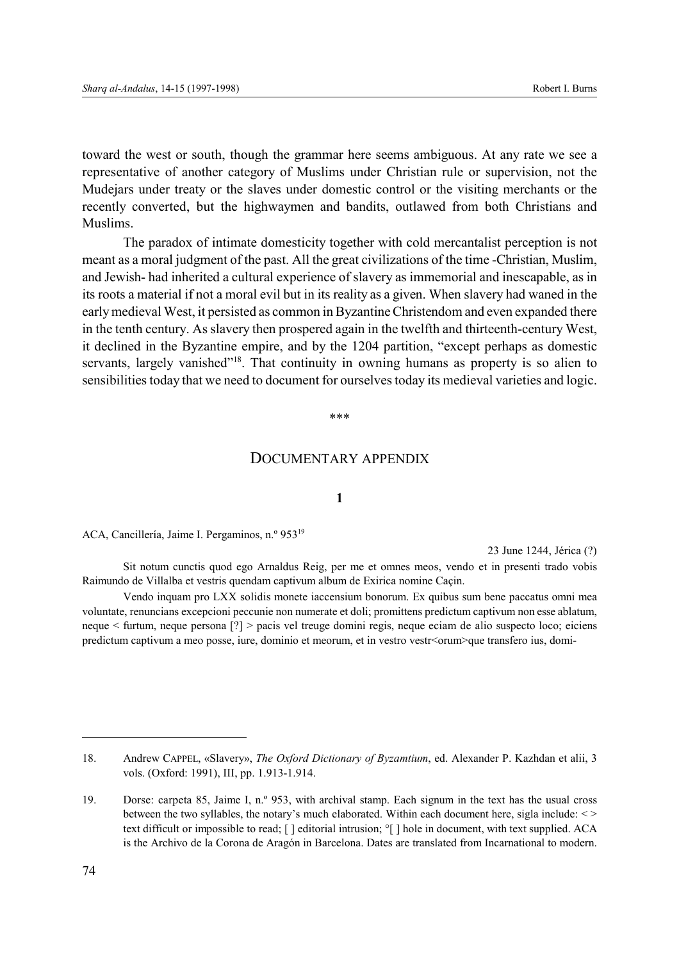toward the west or south, though the grammar here seems ambiguous. At any rate we see a representative of another category of Muslims under Christian rule or supervision, not the Mudejars under treaty or the slaves under domestic control or the visiting merchants or the recently converted, but the highwaymen and bandits, outlawed from both Christians and Muslims.

The paradox of intimate domesticity together with cold mercantalist perception is not meant as a moral judgment of the past. All the great civilizations of the time -Christian, Muslim, and Jewish- had inherited a cultural experience of slavery as immemorial and inescapable, as in its roots a material if not a moral evil but in its reality as a given. When slavery had waned in the early medieval West, it persisted as common in Byzantine Christendom and even expanded there in the tenth century. As slavery then prospered again in the twelfth and thirteenth-century West, it declined in the Byzantine empire, and by the 1204 partition, "except perhaps as domestic servants, largely vanished"<sup>18</sup>. That continuity in owning humans as property is so alien to sensibilities today that we need to document for ourselves today its medieval varieties and logic.

#### \*\*\*

# DOCUMENTARY APPENDIX

## **1**

ACA, Cancillería, Jaime I. Pergaminos, n.º 95319

23 June 1244, Jérica (?)

Sit notum cunctis quod ego Arnaldus Reig, per me et omnes meos, vendo et in presenti trado vobis Raimundo de Villalba et vestris quendam captivum album de Exirica nomine Caçin.

Vendo inquam pro LXX solidis monete iaccensium bonorum. Ex quibus sum bene paccatus omni mea voluntate, renuncians excepcioni peccunie non numerate et doli; promittens predictum captivum non esse ablatum, neque < furtum, neque persona [?] > pacis vel treuge domini regis, neque eciam de alio suspecto loco; eiciens predictum captivum a meo posse, iure, dominio et meorum, et in vestro vestr<orum>que transfero ius, domi-

<sup>18.</sup> Andrew CAPPEL, «Slavery», *The Oxford Dictionary of Byzamtium*, ed. Alexander P. Kazhdan et alii, 3 vols. (Oxford: 1991), III, pp. 1.913-1.914.

<sup>19.</sup> Dorse: carpeta 85, Jaime I, n.º 953, with archival stamp. Each signum in the text has the usual cross between the two syllables, the notary's much elaborated. Within each document here, sigla include: < > text difficult or impossible to read; [ ] editorial intrusion; °[ ] hole in document, with text supplied. ACA is the Archivo de la Corona de Aragón in Barcelona. Dates are translated from Incarnational to modern.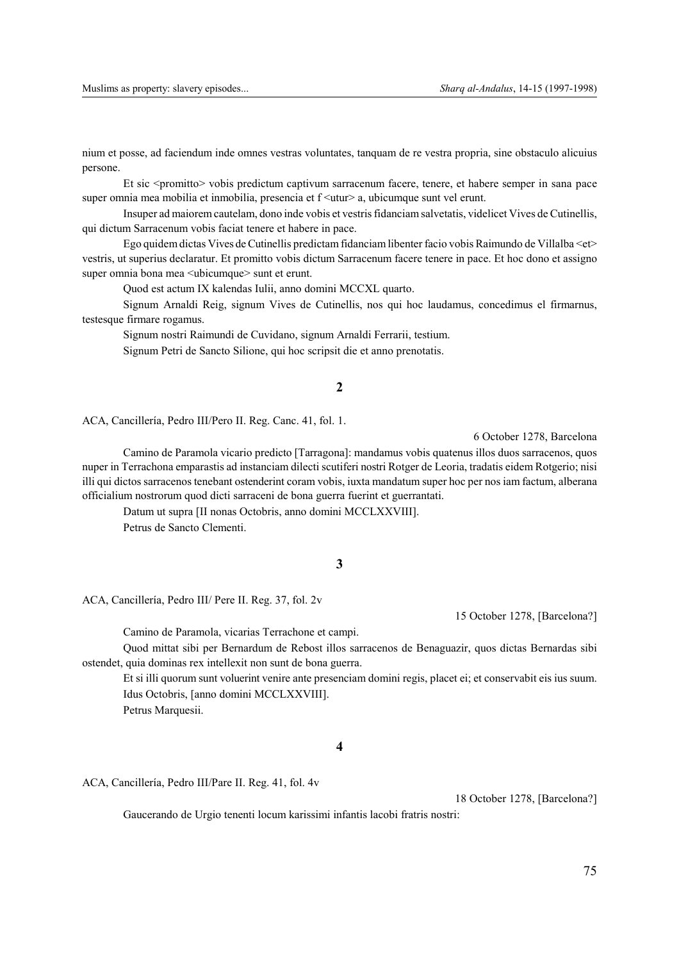nium et posse, ad faciendum inde omnes vestras voluntates, tanquam de re vestra propria, sine obstaculo alicuius persone.

Et sic <promitto> vobis predictum captivum sarracenum facere, tenere, et habere semper in sana pace super omnia mea mobilia et inmobilia, presencia et  $f \leq$ utur $\geq$ a, ubicumque sunt vel erunt.

Insuper ad maiorem cautelam, dono inde vobis et vestris fidanciam salvetatis, videlicet Vives de Cutinellis, qui dictum Sarracenum vobis faciat tenere et habere in pace.

Ego quidem dictas Vives de Cutinellis predictam fidanciam libenter facio vobis Raimundo de Villalba <et> vestris, ut superius declaratur. Et promitto vobis dictum Sarracenum facere tenere in pace. Et hoc dono et assigno super omnia bona mea <ubicumque> sunt et erunt.

Quod est actum IX kalendas Iulii, anno domini MCCXL quarto.

Signum Arnaldi Reig, signum Vives de Cutinellis, nos qui hoc laudamus, concedimus el firmarnus, testesque firmare rogamus.

Signum nostri Raimundi de Cuvidano, signum Arnaldi Ferrarii, testium.

Signum Petri de Sancto Silione, qui hoc scripsit die et anno prenotatis.

#### **2**

ACA, Cancillería, Pedro III/Pero II. Reg. Canc. 41, fol. 1.

6 October 1278, Barcelona

Camino de Paramola vicario predicto [Tarragona]: mandamus vobis quatenus illos duos sarracenos, quos nuper in Terrachona emparastis ad instanciam dilecti scutiferi nostri Rotger de Leoria, tradatis eidem Rotgerio; nisi illi qui dictos sarracenos tenebant ostenderint coram vobis, iuxta mandatum super hoc per nos iam factum, alberana officialium nostrorum quod dicti sarraceni de bona guerra fuerint et guerrantati.

Datum ut supra [II nonas Octobris, anno domini MCCLXXVIII].

Petrus de Sancto Clementi.

#### **3**

ACA, Cancillería, Pedro III/ Pere II. Reg. 37, fol. 2v

Camino de Paramola, vicarias Terrachone et campi.

Quod mittat sibi per Bernardum de Rebost illos sarracenos de Benaguazir, quos dictas Bernardas sibi ostendet, quia dominas rex intellexit non sunt de bona guerra.

Et si illi quorum sunt voluerint venire ante presenciam domini regis, placet ei; et conservabit eis ius suum. Idus Octobris, [anno domini MCCLXXVIII]. Petrus Marquesii.

#### **4**

ACA, Cancillería, Pedro III/Pare II. Reg. 41, fol. 4v

18 October 1278, [Barcelona?]

Gaucerando de Urgio tenenti locum karissimi infantis lacobi fratris nostri:

15 October 1278, [Barcelona?]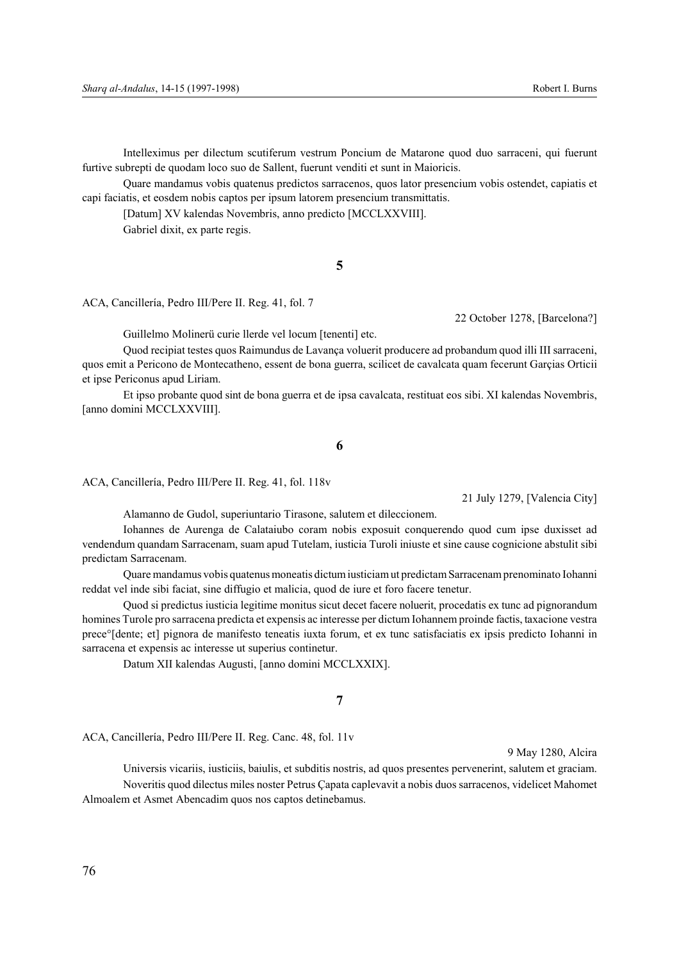Intelleximus per dilectum scutiferum vestrum Poncium de Matarone quod duo sarraceni, qui fuerunt furtive subrepti de quodam loco suo de Sallent, fuerunt venditi et sunt in Maioricis.

Quare mandamus vobis quatenus predictos sarracenos, quos lator presencium vobis ostendet, capiatis et capi faciatis, et eosdem nobis captos per ipsum latorem presencium transmittatis.

[Datum] XV kalendas Novembris, anno predicto [MCCLXXVIII].

Gabriel dixit, ex parte regis.

#### **5**

ACA, Cancillería, Pedro III/Pere II. Reg. 41, fol. 7

22 October 1278, [Barcelona?]

Guillelmo Molinerü curie llerde vel locum [tenenti] etc.

Quod recipiat testes quos Raimundus de Lavança voluerit producere ad probandum quod illi III sarraceni, quos emit a Pericono de Montecatheno, essent de bona guerra, scilicet de cavalcata quam fecerunt Garçias Orticii et ipse Periconus apud Liriam.

Et ipso probante quod sint de bona guerra et de ipsa cavalcata, restituat eos sibi. XI kalendas Novembris, [anno domini MCCLXXVIII].

**6**

ACA, Cancillería, Pedro III/Pere II. Reg. 41, fol. 118v

21 July 1279, [Valencia City]

Alamanno de Gudol, superiuntario Tirasone, salutem et dileccionem.

Iohannes de Aurenga de Calataiubo coram nobis exposuit conquerendo quod cum ipse duxisset ad vendendum quandam Sarracenam, suam apud Tutelam, iusticia Turoli iniuste et sine cause cognicione abstulit sibi predictam Sarracenam.

Quare mandamus vobis quatenus moneatis dictum iusticiam ut predictam Sarracenam prenominato Iohanni reddat vel inde sibi faciat, sine diffugio et malicia, quod de iure et foro facere tenetur.

Quod si predictus iusticia legitime monitus sicut decet facere noluerit, procedatis ex tunc ad pignorandum homines Turole pro sarracena predicta et expensis ac interesse per dictum Iohannem proinde factis, taxacione vestra prece°[dente; et] pignora de manifesto teneatis iuxta forum, et ex tunc satisfaciatis ex ipsis predicto Iohanni in sarracena et expensis ac interesse ut superius continetur.

Datum XII kalendas Augusti, [anno domini MCCLXXIX].

### **7**

ACA, Cancillería, Pedro III/Pere II. Reg. Canc. 48, fol. 11v

9 May 1280, Alcira

Universis vicariis, iusticiis, baiulis, et subditis nostris, ad quos presentes pervenerint, salutem et graciam. Noveritis quod dilectus miles noster Petrus Çapata caplevavit a nobis duos sarracenos, videlicet Mahomet Almoalem et Asmet Abencadim quos nos captos detinebamus.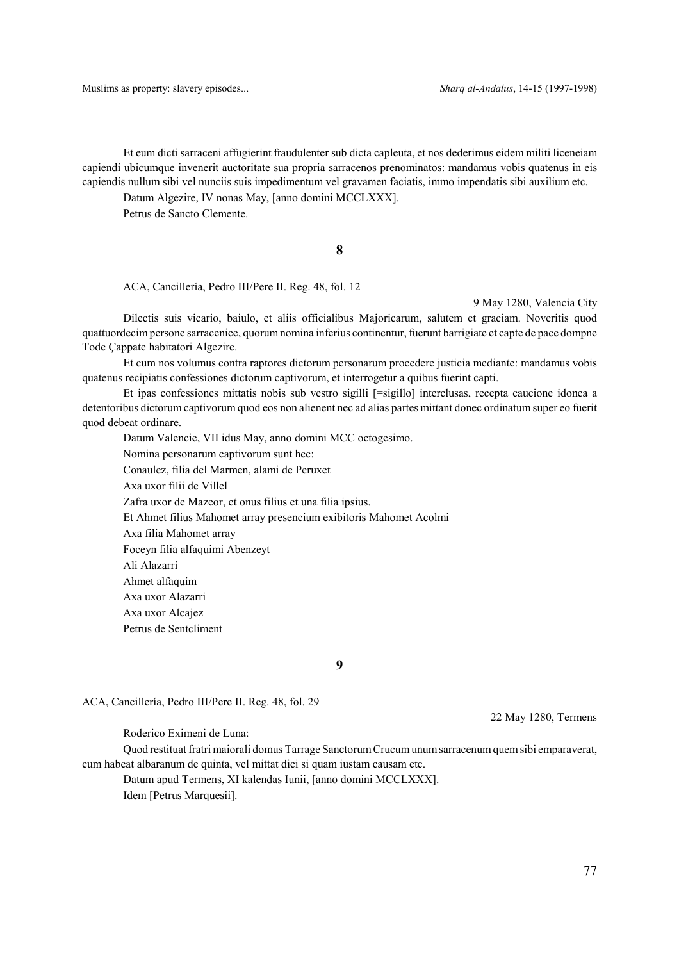Et eum dicti sarraceni affugierint fraudulenter sub dicta capleuta, et nos dederimus eidem militi liceneiam capiendi ubicumque invenerit auctoritate sua propria sarracenos prenominatos: mandamus vobis quatenus in eis capiendis nullum sibi vel nunciis suis impedimentum vel gravamen faciatis, immo impendatis sibi auxilium etc.

Datum Algezire, IV nonas May, [anno domini MCCLXXX].

Petrus de Sancto Clemente.

# **8**

ACA, Cancillería, Pedro III/Pere II. Reg. 48, fol. 12

9 May 1280, Valencia City

Dilectis suis vicario, baiulo, et aliis officialibus Majoricarum, salutem et graciam. Noveritis quod quattuordecim persone sarracenice, quorum nomina inferius continentur, fuerunt barrigiate et capte de pace dompne Tode Çappate habitatori Algezire.

Et cum nos volumus contra raptores dictorum personarum procedere justicia mediante: mandamus vobis quatenus recipiatis confessiones dictorum captivorum, et interrogetur a quibus fuerint capti.

Et ipas confessiones mittatis nobis sub vestro sigilli [=sigillo] interclusas, recepta caucione idonea a detentoribus dictorum captivorum quod eos non alienent nec ad alias partes mittant donec ordinatum super eo fuerit quod debeat ordinare.

Datum Valencie, VII idus May, anno domini MCC octogesimo. Nomina personarum captivorum sunt hec: Conaulez, filia del Marmen, alami de Peruxet Axa uxor filii de Villel Zafra uxor de Mazeor, et onus filius et una filia ipsius. Et Ahmet filius Mahomet array presencium exibitoris Mahomet Acolmi Axa filia Mahomet array Foceyn filia alfaquimi Abenzeyt Ali Alazarri Ahmet alfaquim Axa uxor Alazarri Axa uxor Alcajez Petrus de Sentcliment

**9**

ACA, Cancillería, Pedro III/Pere II. Reg. 48, fol. 29

Roderico Eximeni de Luna:

Quod restituat fratri maiorali domus Tarrage Sanctorum Crucum unum sarracenum quem sibi emparaverat, cum habeat albaranum de quinta, vel mittat dici si quam iustam causam etc.

Datum apud Termens, XI kalendas Iunii, [anno domini MCCLXXX]. Idem [Petrus Marquesii].

22 May 1280, Termens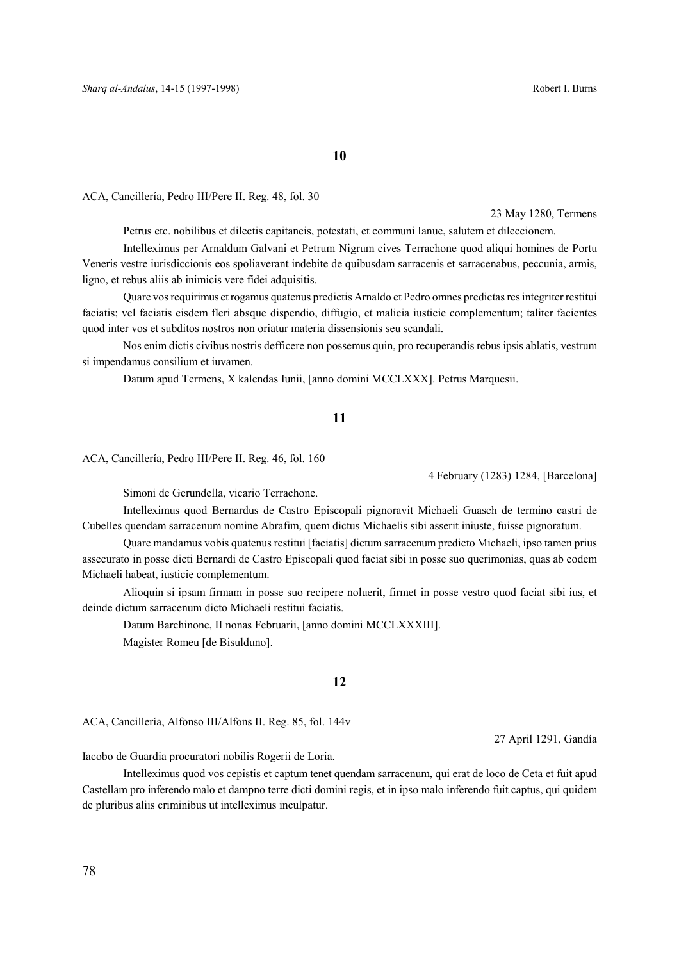#### **10**

ACA, Cancillería, Pedro III/Pere II. Reg. 48, fol. 30

23 May 1280, Termens

Petrus etc. nobilibus et dilectis capitaneis, potestati, et communi Ianue, salutem et dileccionem.

Intelleximus per Arnaldum Galvani et Petrum Nigrum cives Terrachone quod aliqui homines de Portu Veneris vestre iurisdiccionis eos spoliaverant indebite de quibusdam sarracenis et sarracenabus, peccunia, armis, ligno, et rebus aliis ab inimicis vere fidei adquisitis.

Quare vos requirimus et rogamus quatenus predictis Arnaldo et Pedro omnes predictas res integriter restitui faciatis; vel faciatis eisdem fleri absque dispendio, diffugio, et malicia iusticie complementum; taliter facientes quod inter vos et subditos nostros non oriatur materia dissensionis seu scandali.

Nos enim dictis civibus nostris defficere non possemus quin, pro recuperandis rebus ipsis ablatis, vestrum si impendamus consilium et iuvamen.

Datum apud Termens, X kalendas Iunii, [anno domini MCCLXXX]. Petrus Marquesii.

## **11**

ACA, Cancillería, Pedro III/Pere II. Reg. 46, fol. 160

4 February (1283) 1284, [Barcelona]

Simoni de Gerundella, vicario Terrachone.

Intelleximus quod Bernardus de Castro Episcopali pignoravit Michaeli Guasch de termino castri de Cubelles quendam sarracenum nomine Abrafim, quem dictus Michaelis sibi asserit iniuste, fuisse pignoratum.

Quare mandamus vobis quatenus restitui [faciatis] dictum sarracenum predicto Michaeli, ipso tamen prius assecurato in posse dicti Bernardi de Castro Episcopali quod faciat sibi in posse suo querimonias, quas ab eodem Michaeli habeat, iusticie complementum.

Alioquin si ipsam firmam in posse suo recipere noluerit, firmet in posse vestro quod faciat sibi ius, et deinde dictum sarracenum dicto Michaeli restitui faciatis.

Datum Barchinone, II nonas Februarii, [anno domini MCCLXXXIII]. Magister Romeu [de Bisulduno].

## **12**

ACA, Cancillería, Alfonso III/Alfons II. Reg. 85, fol. 144v

27 April 1291, Gandía

Iacobo de Guardia procuratori nobilis Rogerii de Loria.

Intelleximus quod vos cepistis et captum tenet quendam sarracenum, qui erat de loco de Ceta et fuit apud Castellam pro inferendo malo et dampno terre dicti domini regis, et in ipso malo inferendo fuit captus, qui quidem de pluribus aliis criminibus ut intelleximus inculpatur.